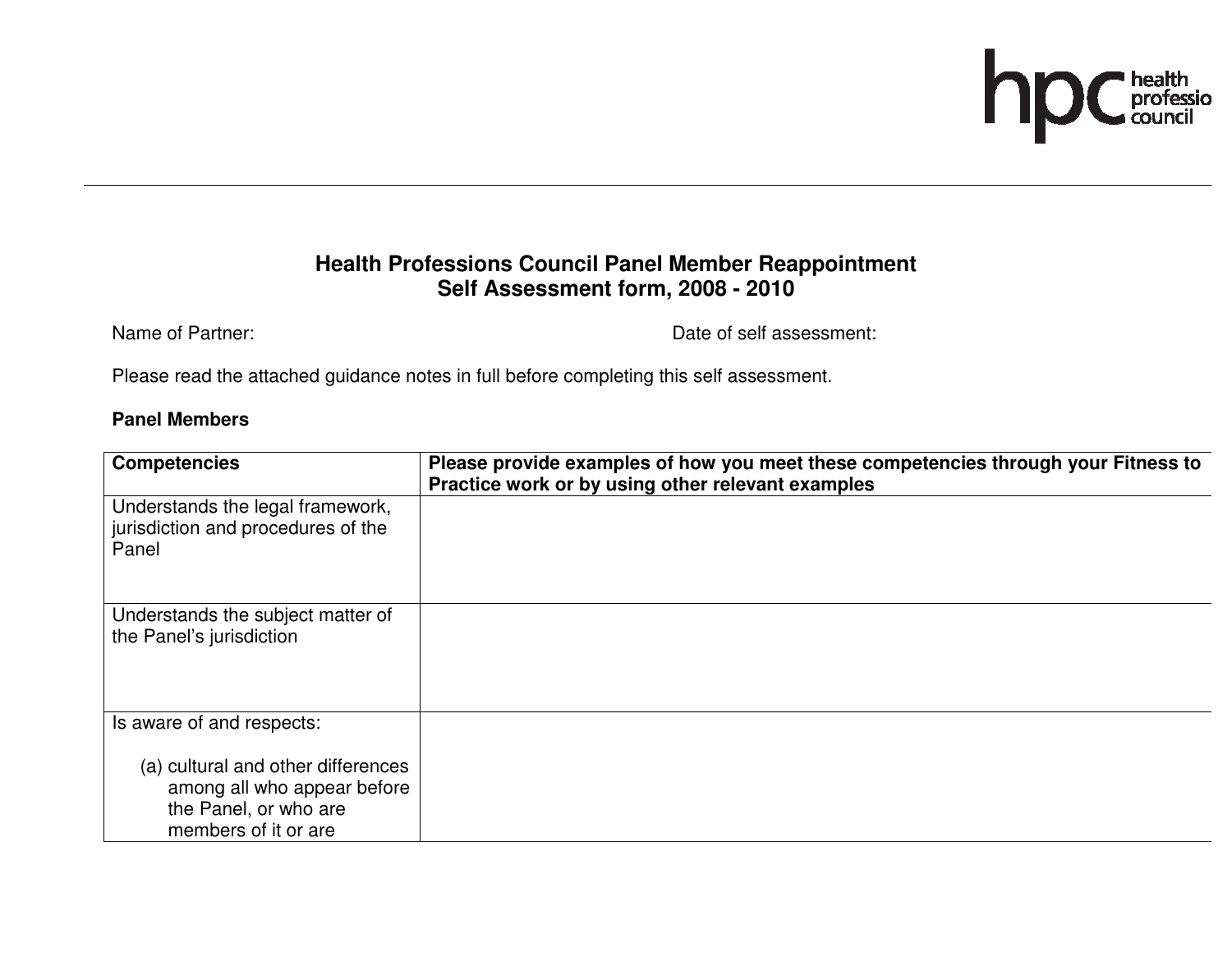

## **Health Professions Council Panel Member Reappointment Self Assessment form, 2008 - 2010**

Name of Partner:  $\blacksquare$ 

Please read the attached guidance notes in full before completing this self assessment.

#### **Panel Members**

| <b>Competencies</b>                                                                                                | Please provide examples of how you meet these competencies through your Fitness to<br>Practice work or by using other relevant examples |
|--------------------------------------------------------------------------------------------------------------------|-----------------------------------------------------------------------------------------------------------------------------------------|
| Understands the legal framework,<br>jurisdiction and procedures of the<br>Panel                                    |                                                                                                                                         |
| Understands the subject matter of<br>the Panel's jurisdiction                                                      |                                                                                                                                         |
| Is aware of and respects:                                                                                          |                                                                                                                                         |
| (a) cultural and other differences<br>among all who appear before<br>the Panel, or who are<br>members of it or are |                                                                                                                                         |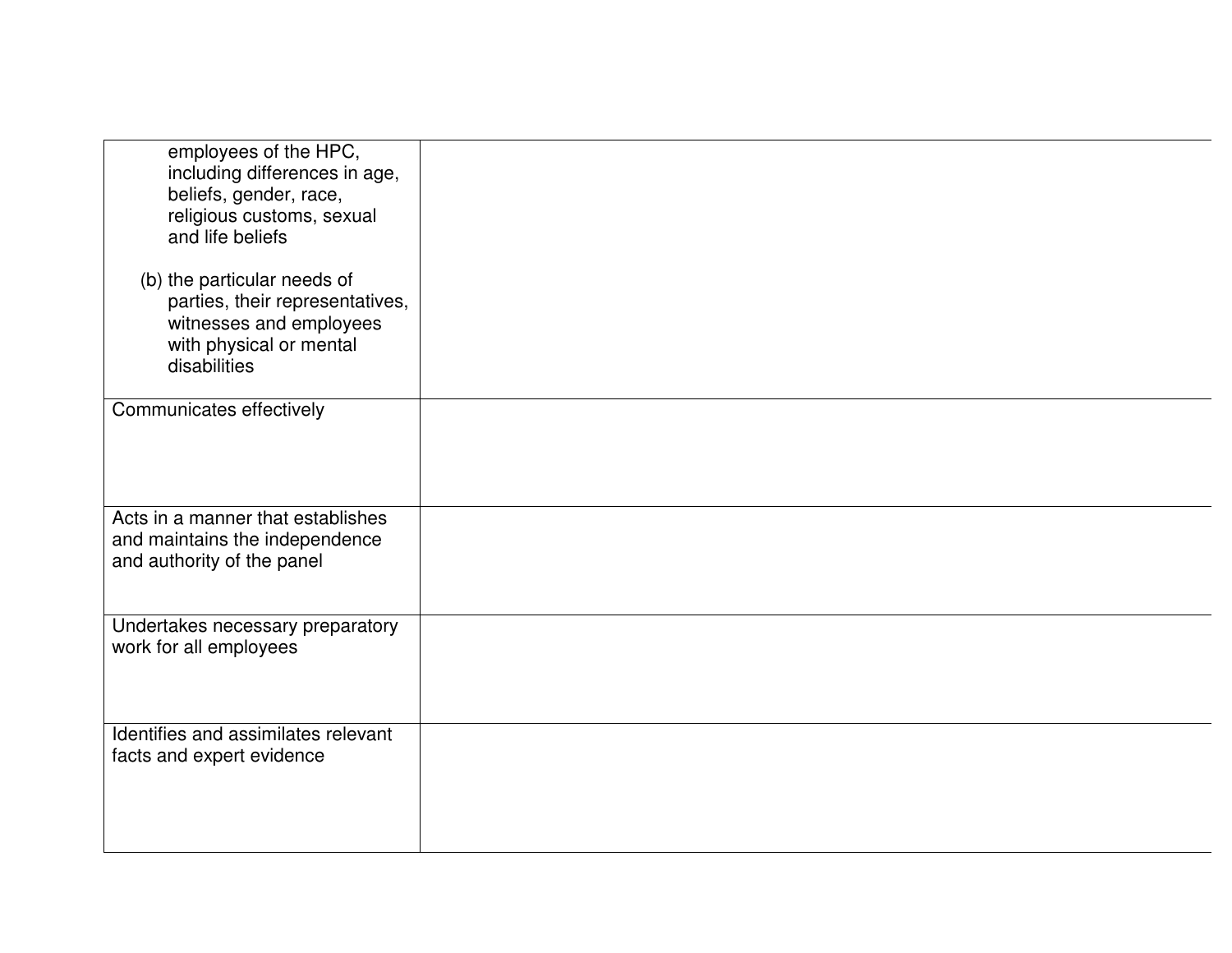| employees of the HPC,<br>including differences in age,<br>beliefs, gender, race,<br>religious customs, sexual<br>and life beliefs    |  |
|--------------------------------------------------------------------------------------------------------------------------------------|--|
| (b) the particular needs of<br>parties, their representatives,<br>witnesses and employees<br>with physical or mental<br>disabilities |  |
| Communicates effectively                                                                                                             |  |
| Acts in a manner that establishes<br>and maintains the independence<br>and authority of the panel                                    |  |
| Undertakes necessary preparatory<br>work for all employees                                                                           |  |
| Identifies and assimilates relevant<br>facts and expert evidence                                                                     |  |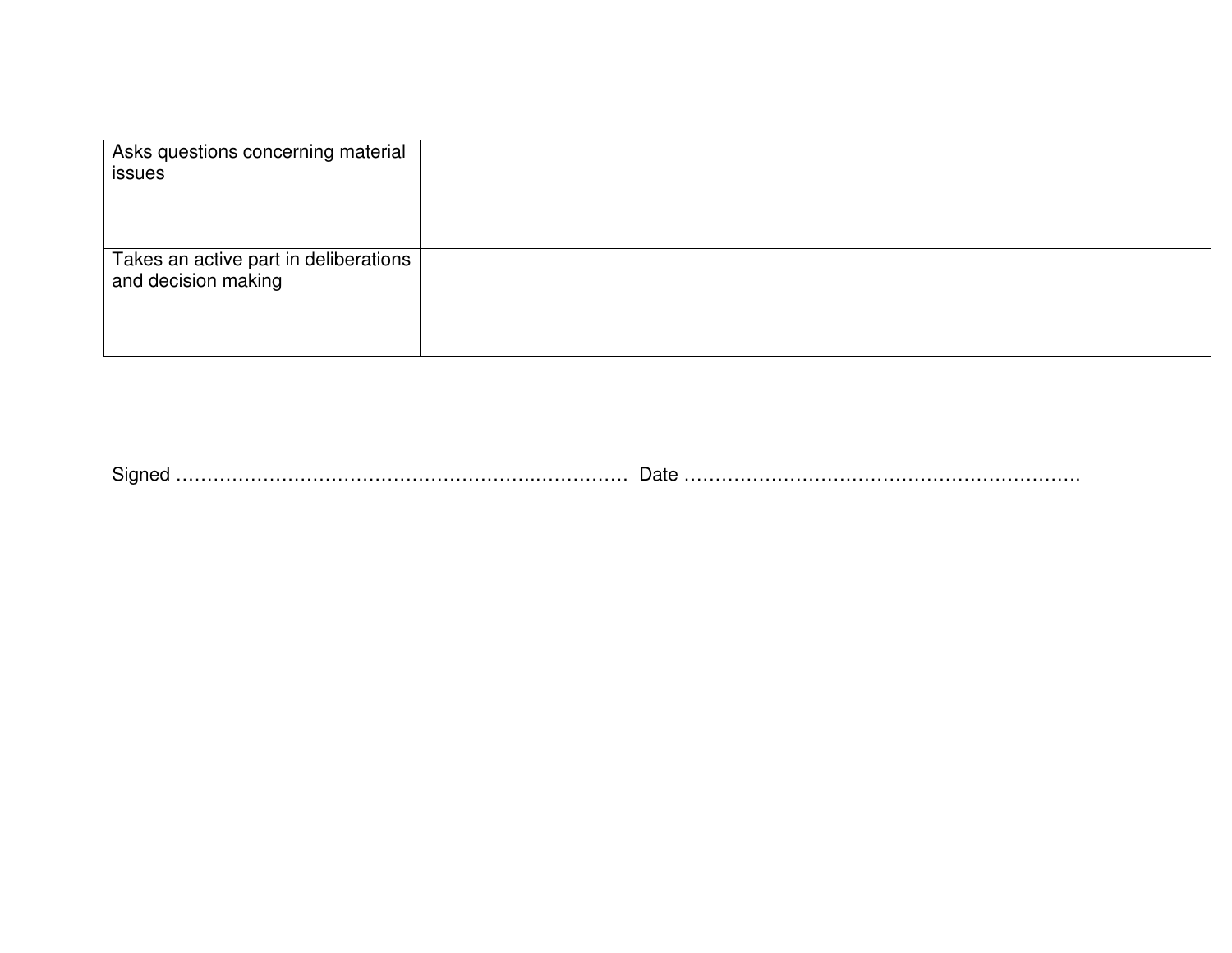| Asks questions concerning material<br>issues                 |  |
|--------------------------------------------------------------|--|
| Takes an active part in deliberations<br>and decision making |  |

Signed ………………………………………………….…………… Date ……………………………………………………….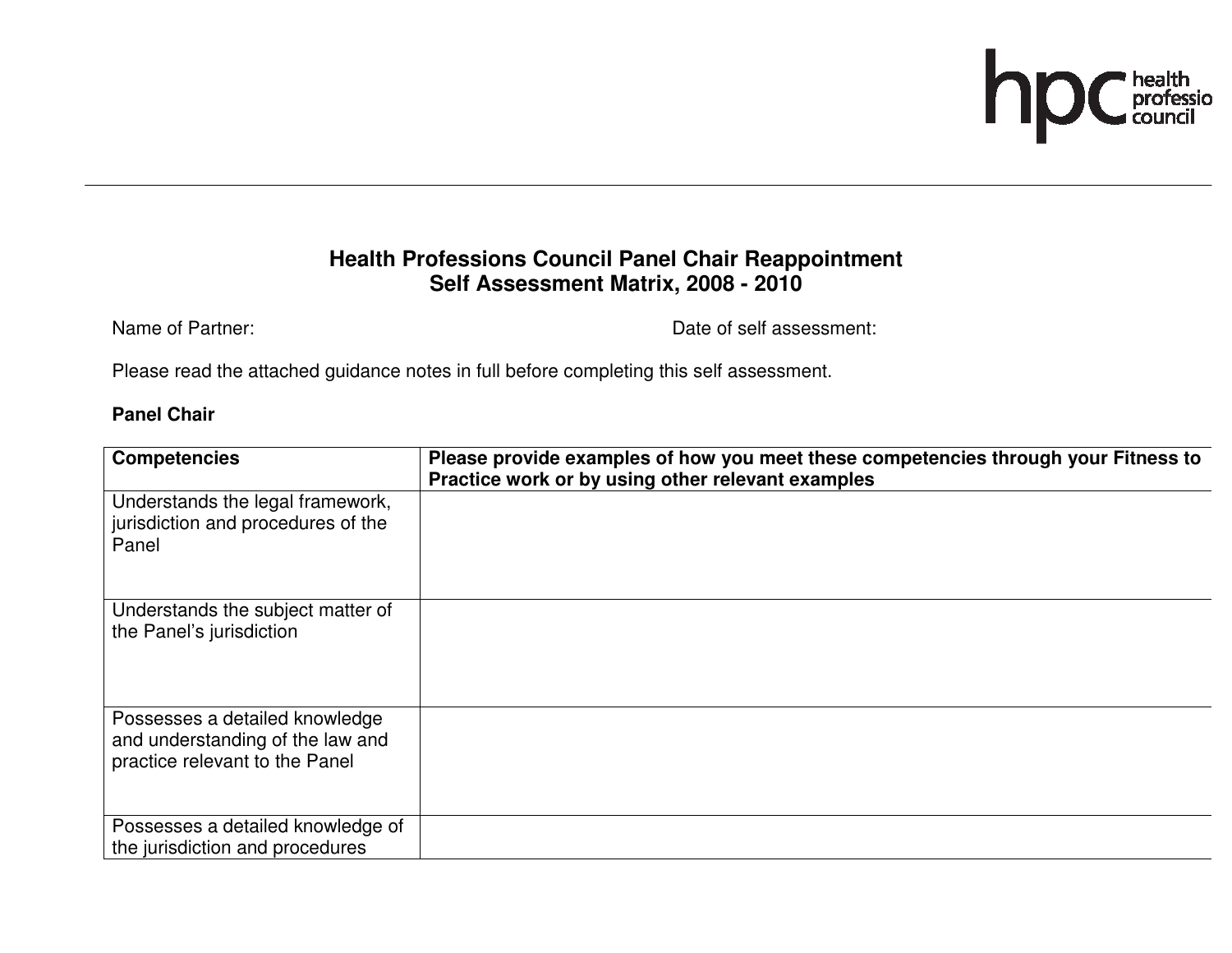

## **Health Professions Council Panel Chair Reappointment Self Assessment Matrix, 2008 - 2010**

Name of Partner:  $\blacksquare$ 

Please read the attached guidance notes in full before completing this self assessment.

#### **Panel Chair**

| <b>Competencies</b>                                                                                  | Please provide examples of how you meet these competencies through your Fitness to<br>Practice work or by using other relevant examples |
|------------------------------------------------------------------------------------------------------|-----------------------------------------------------------------------------------------------------------------------------------------|
| Understands the legal framework,<br>jurisdiction and procedures of the<br>Panel                      |                                                                                                                                         |
| Understands the subject matter of<br>the Panel's jurisdiction                                        |                                                                                                                                         |
| Possesses a detailed knowledge<br>and understanding of the law and<br>practice relevant to the Panel |                                                                                                                                         |
| Possesses a detailed knowledge of<br>the jurisdiction and procedures                                 |                                                                                                                                         |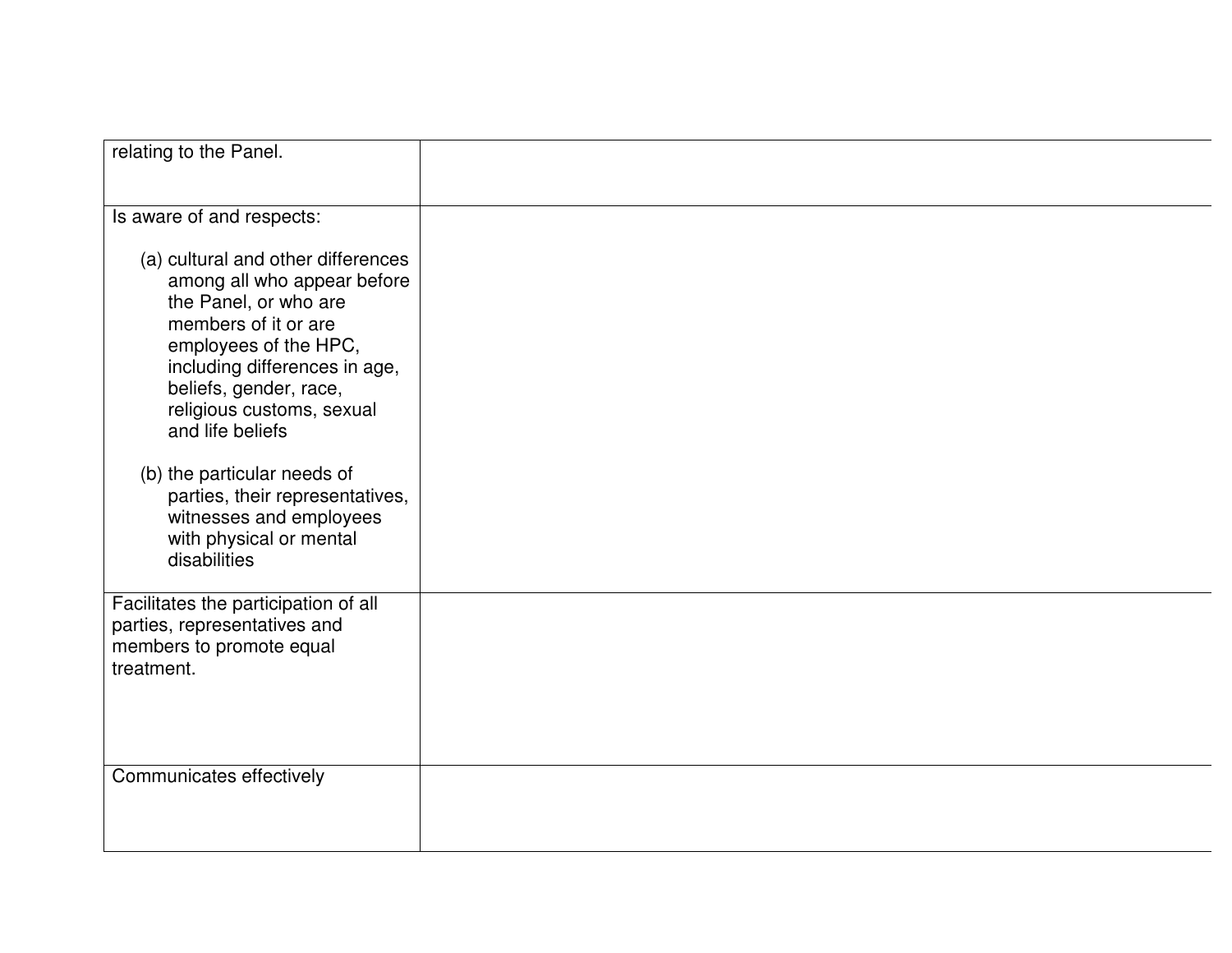| relating to the Panel.                                                                                                                                                                                                                                  |  |
|---------------------------------------------------------------------------------------------------------------------------------------------------------------------------------------------------------------------------------------------------------|--|
|                                                                                                                                                                                                                                                         |  |
|                                                                                                                                                                                                                                                         |  |
|                                                                                                                                                                                                                                                         |  |
| Is aware of and respects:                                                                                                                                                                                                                               |  |
| (a) cultural and other differences<br>among all who appear before<br>the Panel, or who are<br>members of it or are<br>employees of the HPC,<br>including differences in age,<br>beliefs, gender, race,<br>religious customs, sexual<br>and life beliefs |  |
|                                                                                                                                                                                                                                                         |  |
| (b) the particular needs of<br>parties, their representatives,<br>witnesses and employees<br>with physical or mental<br>disabilities                                                                                                                    |  |
| Facilitates the participation of all<br>parties, representatives and<br>members to promote equal<br>treatment.                                                                                                                                          |  |
| Communicates effectively                                                                                                                                                                                                                                |  |
|                                                                                                                                                                                                                                                         |  |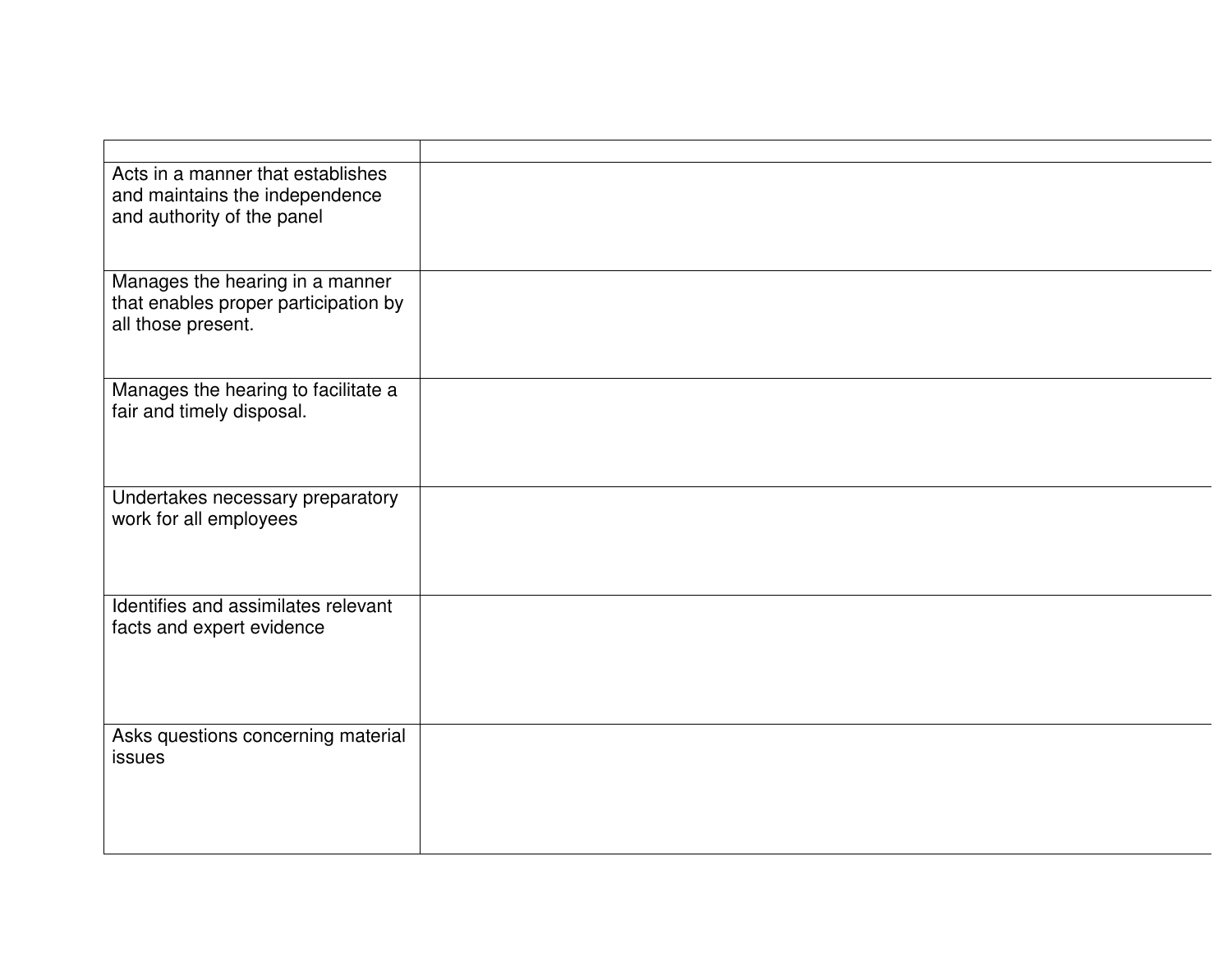| Acts in a manner that establishes                   |  |
|-----------------------------------------------------|--|
| and maintains the independence                      |  |
| and authority of the panel                          |  |
|                                                     |  |
|                                                     |  |
| Manages the hearing in a manner                     |  |
| that enables proper participation by                |  |
| all those present.                                  |  |
|                                                     |  |
|                                                     |  |
| Manages the hearing to facilitate a                 |  |
| fair and timely disposal.                           |  |
|                                                     |  |
|                                                     |  |
| Undertakes necessary preparatory                    |  |
| work for all employees                              |  |
|                                                     |  |
|                                                     |  |
|                                                     |  |
| Identifies and assimilates relevant                 |  |
| facts and expert evidence                           |  |
|                                                     |  |
|                                                     |  |
|                                                     |  |
|                                                     |  |
| Asks questions concerning material<br><b>issues</b> |  |
|                                                     |  |
|                                                     |  |
|                                                     |  |
|                                                     |  |
|                                                     |  |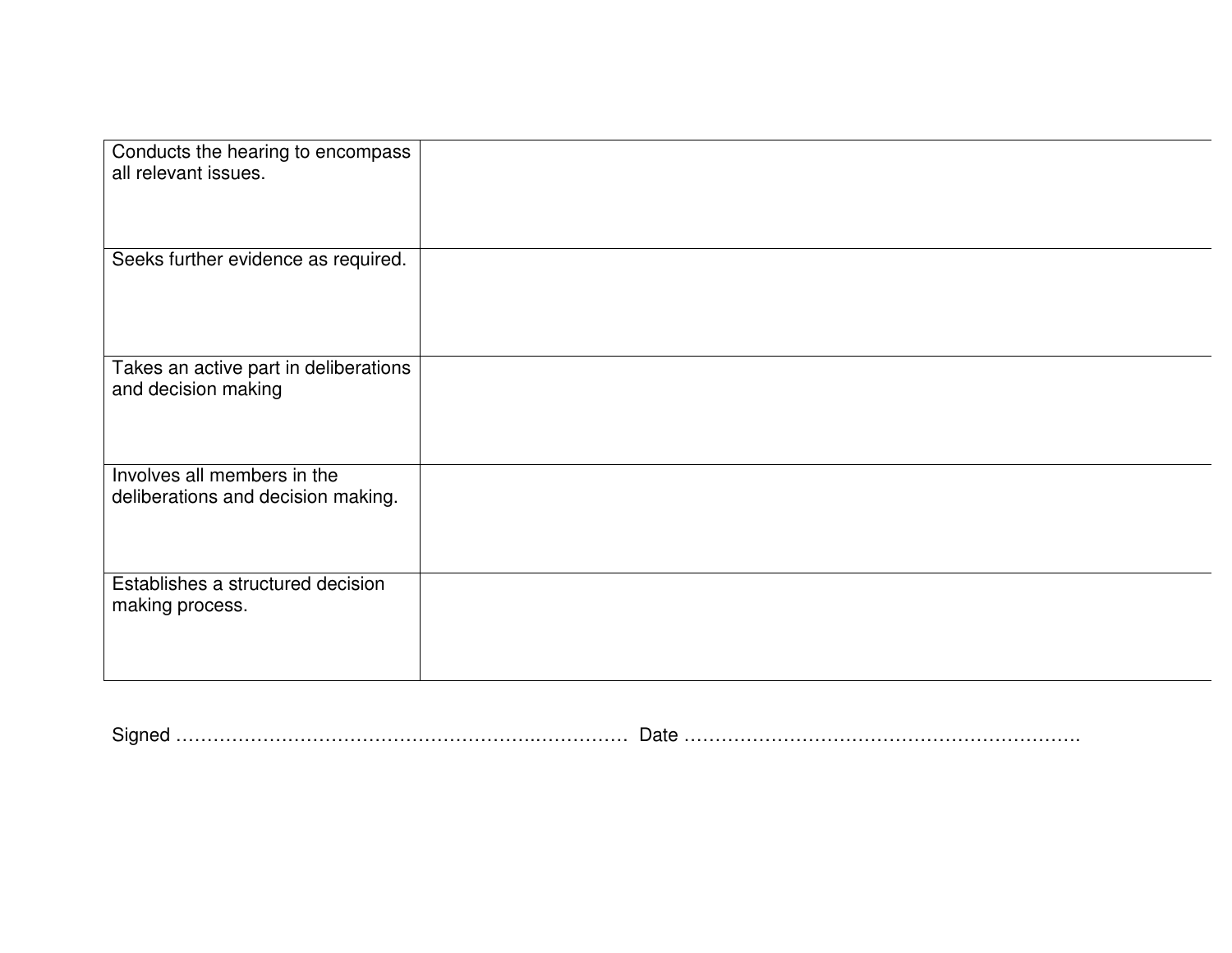| Conducts the hearing to encompass<br>all relevant issues.         |  |
|-------------------------------------------------------------------|--|
| Seeks further evidence as required.                               |  |
| Takes an active part in deliberations<br>and decision making      |  |
| Involves all members in the<br>deliberations and decision making. |  |
| Establishes a structured decision<br>making process.              |  |

| $\overline{\phantom{0}}$<br>المستنبين المستنبين المستنبين المستنبين العملي المستنبين المستنبين المستنبين المستنبين المستنبين العالمات |  |
|---------------------------------------------------------------------------------------------------------------------------------------|--|
|---------------------------------------------------------------------------------------------------------------------------------------|--|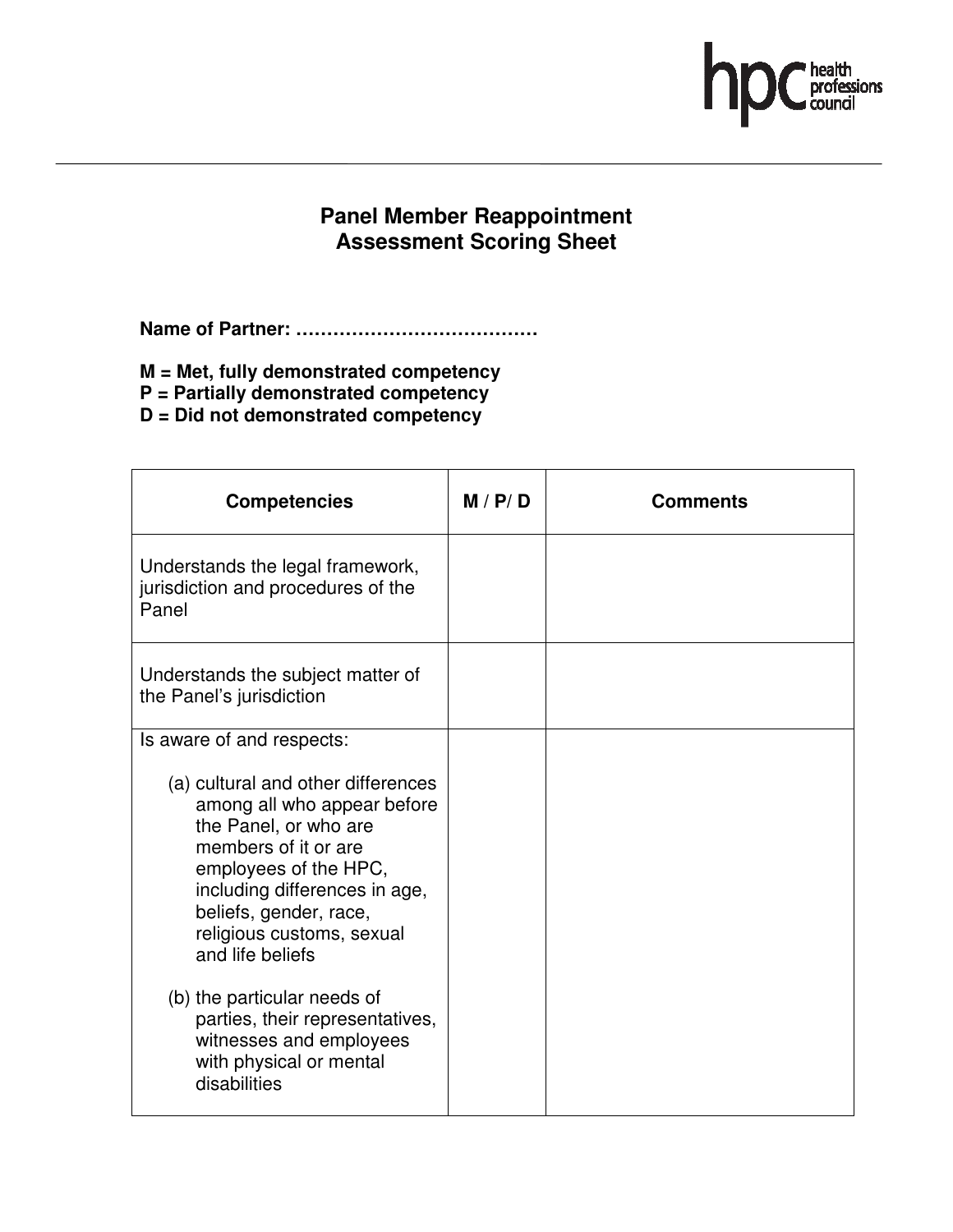

### **Panel Member Reappointment Assessment Scoring Sheet**

**Name of Partner: …………………………………**

- **M = Met, fully demonstrated competency**
- **P = Partially demonstrated competency**

**D = Did not demonstrated competency** 

| <b>Competencies</b>                                                                                                                                                                                                                                                                  | M / P / D | Comments |
|--------------------------------------------------------------------------------------------------------------------------------------------------------------------------------------------------------------------------------------------------------------------------------------|-----------|----------|
| Understands the legal framework,<br>jurisdiction and procedures of the<br>Panel                                                                                                                                                                                                      |           |          |
| Understands the subject matter of<br>the Panel's jurisdiction                                                                                                                                                                                                                        |           |          |
| Is aware of and respects:<br>(a) cultural and other differences<br>among all who appear before<br>the Panel, or who are<br>members of it or are<br>employees of the HPC,<br>including differences in age,<br>beliefs, gender, race,<br>religious customs, sexual<br>and life beliefs |           |          |
| (b) the particular needs of<br>parties, their representatives,<br>witnesses and employees<br>with physical or mental<br>disabilities                                                                                                                                                 |           |          |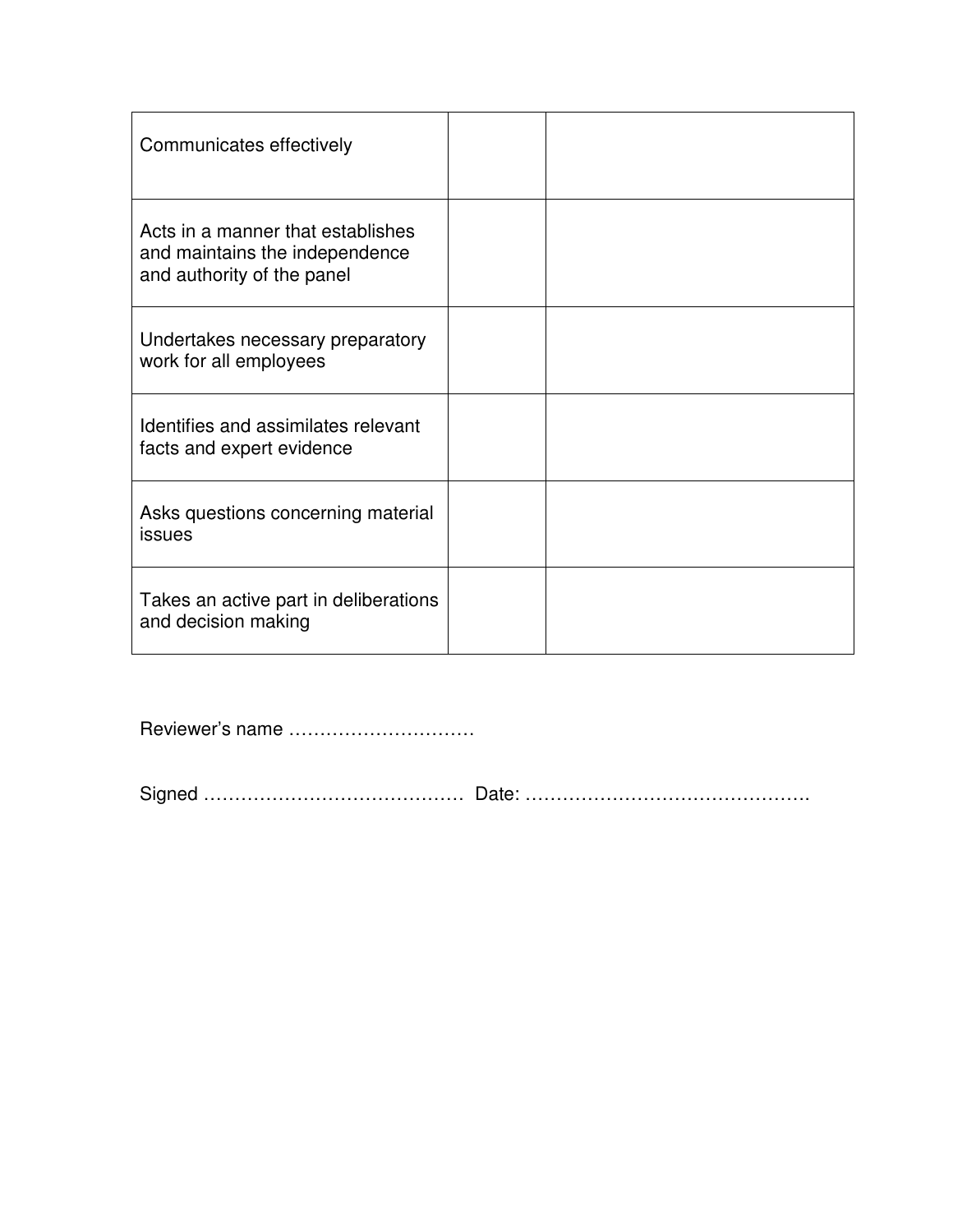| Communicates effectively                                                                          |  |
|---------------------------------------------------------------------------------------------------|--|
| Acts in a manner that establishes<br>and maintains the independence<br>and authority of the panel |  |
| Undertakes necessary preparatory<br>work for all employees                                        |  |
| Identifies and assimilates relevant<br>facts and expert evidence                                  |  |
| Asks questions concerning material<br>issues                                                      |  |
| Takes an active part in deliberations<br>and decision making                                      |  |

Reviewer's name …………………………

Signed …………………………………… Date: ……………………………………….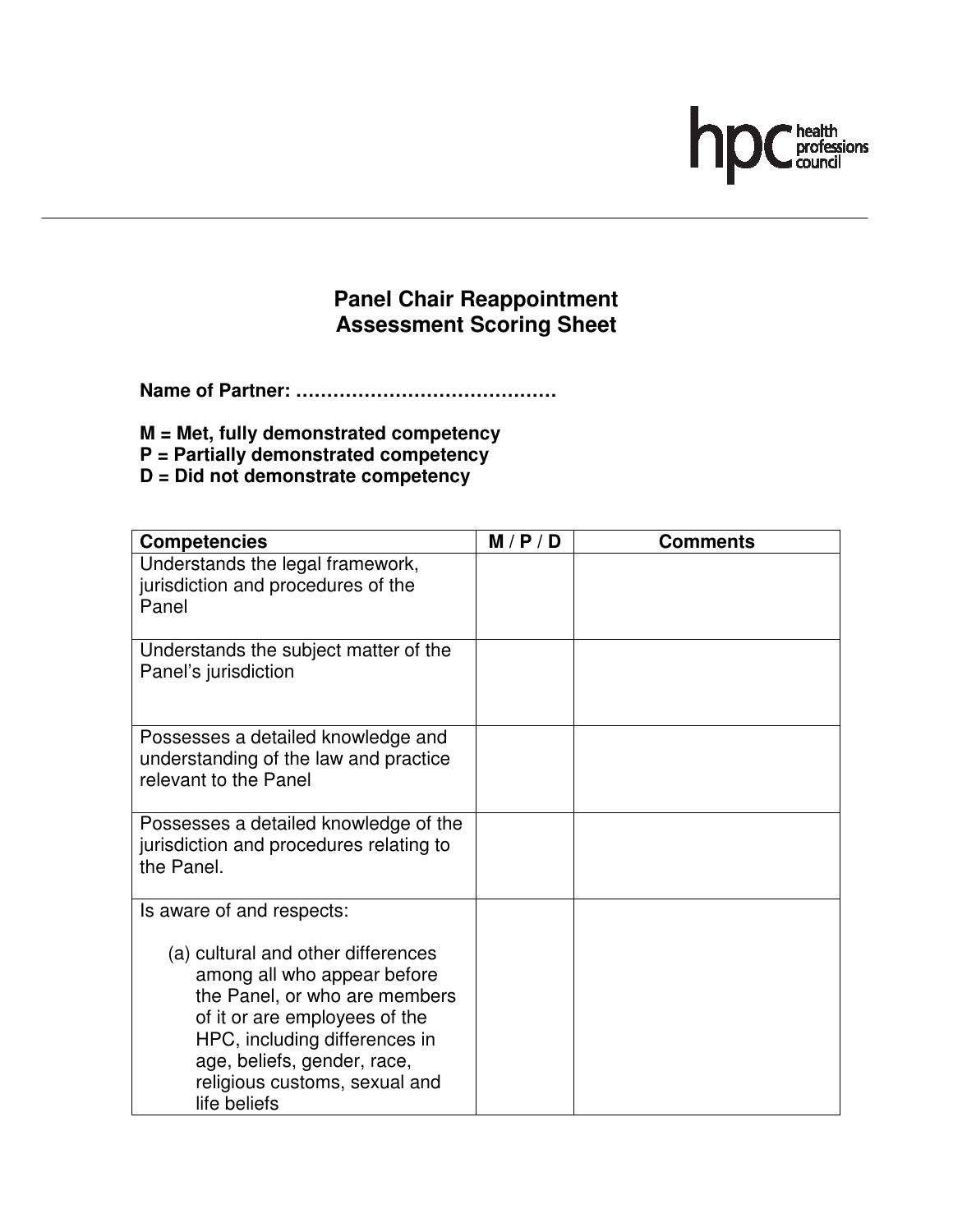# $\mathsf{h}$ ■ health<br>professions<br>■ council

## **Panel Chair Reappointment Assessment Scoring Sheet**

**Name of Partner: ……………………………………**

- **M = Met, fully demonstrated competency**
- **P = Partially demonstrated competency**
- **D = Did not demonstrate competency**

| <b>Competencies</b>                                                                                                                                                                                                                                                               | M/P/D | <b>Comments</b> |
|-----------------------------------------------------------------------------------------------------------------------------------------------------------------------------------------------------------------------------------------------------------------------------------|-------|-----------------|
| Understands the legal framework,<br>jurisdiction and procedures of the<br>Panel                                                                                                                                                                                                   |       |                 |
| Understands the subject matter of the<br>Panel's jurisdiction                                                                                                                                                                                                                     |       |                 |
| Possesses a detailed knowledge and<br>understanding of the law and practice<br>relevant to the Panel                                                                                                                                                                              |       |                 |
| Possesses a detailed knowledge of the<br>jurisdiction and procedures relating to<br>the Panel.                                                                                                                                                                                    |       |                 |
| Is aware of and respects:<br>(a) cultural and other differences<br>among all who appear before<br>the Panel, or who are members<br>of it or are employees of the<br>HPC, including differences in<br>age, beliefs, gender, race,<br>religious customs, sexual and<br>life beliefs |       |                 |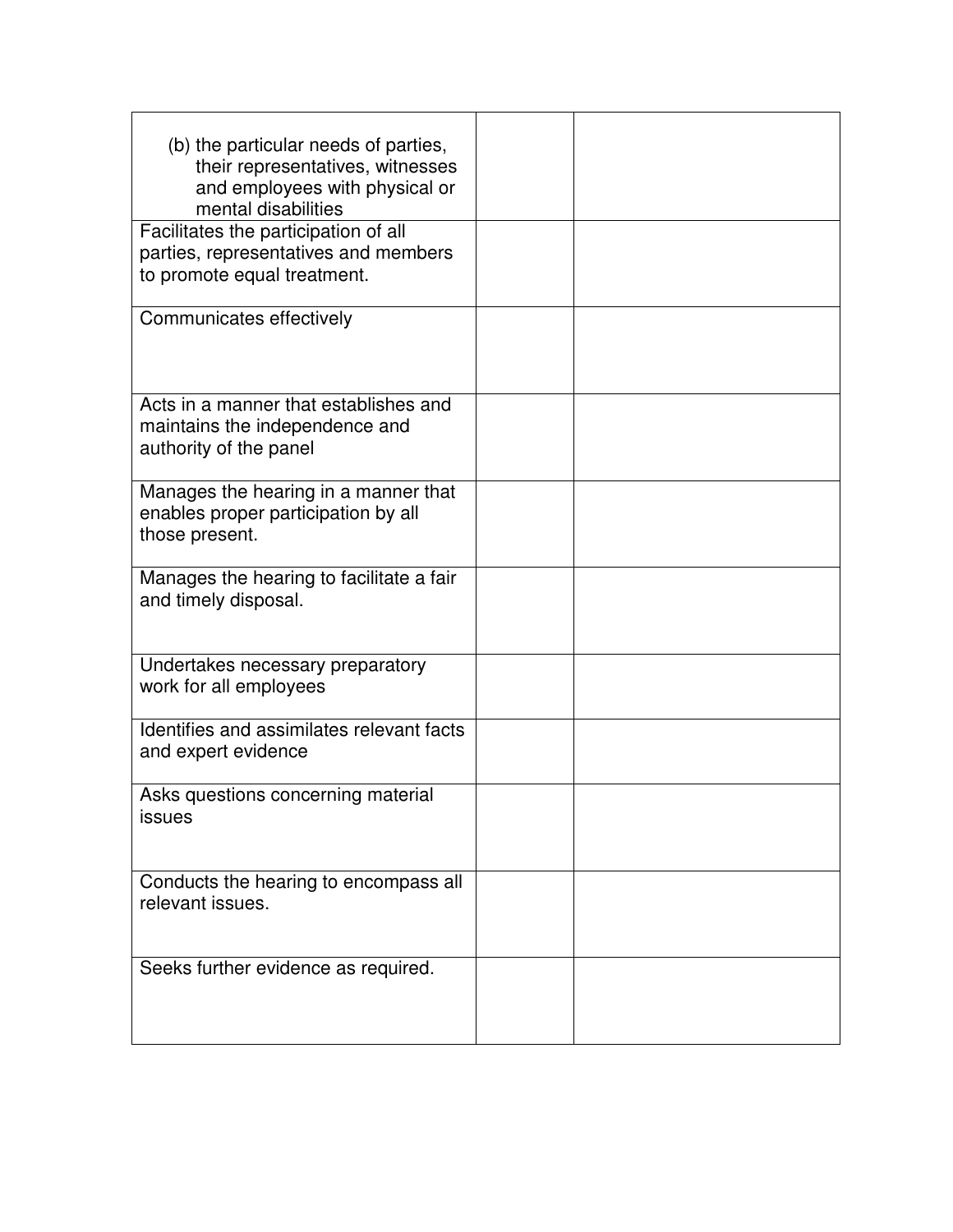| (b) the particular needs of parties,<br>their representatives, witnesses<br>and employees with physical or<br>mental disabilities<br>Facilitates the participation of all |  |
|---------------------------------------------------------------------------------------------------------------------------------------------------------------------------|--|
| parties, representatives and members<br>to promote equal treatment.                                                                                                       |  |
| Communicates effectively                                                                                                                                                  |  |
| Acts in a manner that establishes and<br>maintains the independence and<br>authority of the panel                                                                         |  |
| Manages the hearing in a manner that<br>enables proper participation by all<br>those present.                                                                             |  |
| Manages the hearing to facilitate a fair<br>and timely disposal.                                                                                                          |  |
| Undertakes necessary preparatory<br>work for all employees                                                                                                                |  |
| Identifies and assimilates relevant facts<br>and expert evidence                                                                                                          |  |
| Asks questions concerning material<br><b>ISSUES</b>                                                                                                                       |  |
| Conducts the hearing to encompass all<br>relevant issues.                                                                                                                 |  |
| Seeks further evidence as required.                                                                                                                                       |  |